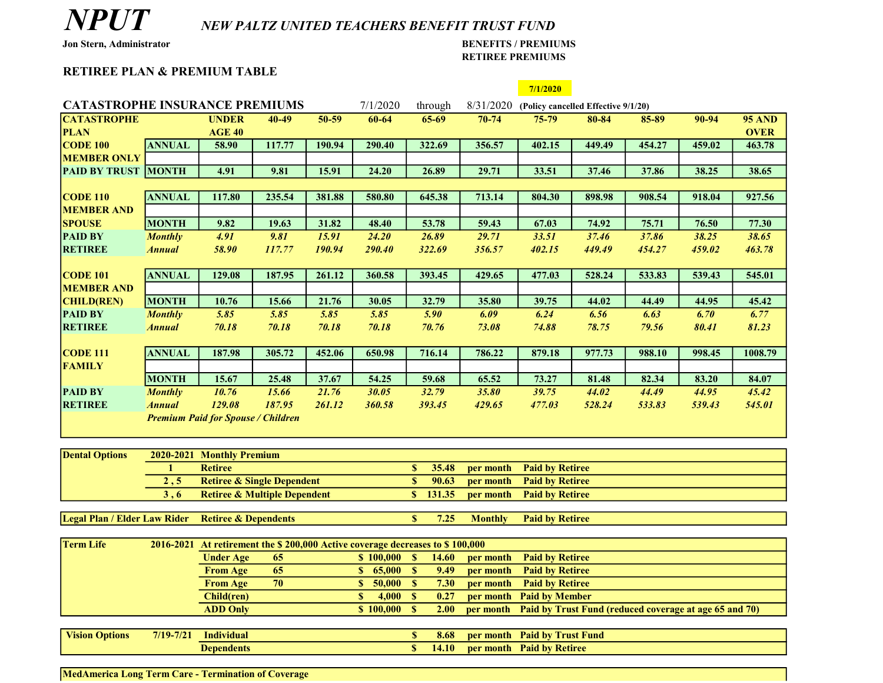## NPUT NEW PALTZ UNITED TEACHERS BENEFIT TRUST FUND

## Jon Stern, Administrator BENEFITS / PREMIUMS RETIREE PREMIUMS

## RETIREE PLAN & PREMIUM TABLE

|                                                   |                                                                                                                 |                                                                                                                                                                           |        |        |                       |                                   |                        | 7/1/2020                                      |                                                        |        |        |               |
|---------------------------------------------------|-----------------------------------------------------------------------------------------------------------------|---------------------------------------------------------------------------------------------------------------------------------------------------------------------------|--------|--------|-----------------------|-----------------------------------|------------------------|-----------------------------------------------|--------------------------------------------------------|--------|--------|---------------|
| <b>CATASTROPHE INSURANCE PREMIUMS</b><br>7/1/2020 |                                                                                                                 |                                                                                                                                                                           |        |        |                       | through                           |                        | 8/31/2020 (Policy cancelled Effective 9/1/20) |                                                        |        |        |               |
| <b>CATASTROPHE</b>                                |                                                                                                                 | <b>UNDER</b>                                                                                                                                                              | 40-49  | 50-59  | 60-64                 | 65-69                             | $70 - 74$              | $75 - 79$                                     | 80-84                                                  | 85-89  | 90-94  | <b>95 AND</b> |
| <b>PLAN</b>                                       |                                                                                                                 | <b>AGE 40</b>                                                                                                                                                             |        |        |                       |                                   |                        |                                               |                                                        |        |        | <b>OVER</b>   |
| <b>CODE 100</b>                                   | <b>ANNUAL</b>                                                                                                   | 58.90                                                                                                                                                                     | 117.77 | 190.94 | 290.40                | 322.69                            | 356.57                 | 402.15                                        | 449.49                                                 | 454.27 | 459.02 | 463.78        |
| <b>MEMBER ONLY</b>                                |                                                                                                                 |                                                                                                                                                                           |        |        |                       |                                   |                        |                                               |                                                        |        |        |               |
| <b>PAID BY TRUST</b>                              | <b>MONTH</b>                                                                                                    | 4.91                                                                                                                                                                      | 9.81   | 15.91  | 24.20                 | 26.89                             | 29.71                  | 33.51                                         | 37.46                                                  | 37.86  | 38.25  | 38.65         |
|                                                   |                                                                                                                 |                                                                                                                                                                           |        |        |                       |                                   |                        |                                               |                                                        |        |        |               |
| $\overline{CODE}$ 110                             | <b>ANNUAL</b>                                                                                                   | 117.80                                                                                                                                                                    | 235.54 | 381.88 | 580.80                | 645.38                            | 713.14                 | 804.30                                        | 898.98                                                 | 908.54 | 918.04 | 927.56        |
| <b>MEMBER AND</b>                                 |                                                                                                                 |                                                                                                                                                                           |        |        |                       |                                   |                        |                                               |                                                        |        |        |               |
| <b>SPOUSE</b>                                     | <b>MONTH</b>                                                                                                    | 9.82                                                                                                                                                                      | 19.63  | 31.82  | 48.40                 | 53.78                             | 59.43                  | 67.03                                         | 74.92                                                  | 75.71  | 76.50  | 77.30         |
| <b>PAID BY</b>                                    | <b>Monthly</b>                                                                                                  | $\overline{4.91}$                                                                                                                                                         | 9.81   | 15.91  | 24.20                 | 26.89                             | 29.71                  | 33.51                                         | 37.46                                                  | 37.86  | 38.25  | 38.65         |
| <b>RETIREE</b>                                    | <b>Annual</b>                                                                                                   | 58.90                                                                                                                                                                     | 117.77 | 190.94 | 290.40                | 322.69                            | 356.57                 | 402.15                                        | 449.49                                                 | 454.27 | 459.02 | 463.78        |
|                                                   |                                                                                                                 |                                                                                                                                                                           |        |        |                       |                                   |                        |                                               |                                                        |        |        |               |
| <b>CODE 101</b>                                   | <b>ANNUAL</b>                                                                                                   | 129.08                                                                                                                                                                    | 187.95 | 261.12 | 360.58                | 393.45                            | 429.65                 | 477.03                                        | 528.24                                                 | 533.83 | 539.43 | 545.01        |
| <b>MEMBER AND</b>                                 |                                                                                                                 |                                                                                                                                                                           |        |        |                       |                                   |                        |                                               |                                                        |        |        |               |
| <b>CHILD(REN)</b>                                 | <b>MONTH</b>                                                                                                    | 10.76                                                                                                                                                                     | 15.66  | 21.76  | 30.05                 | 32.79                             | 35.80                  | 39.75                                         | 44.02                                                  | 44.49  | 44.95  | 45.42         |
| <b>PAID BY</b>                                    | <b>Monthly</b>                                                                                                  | 5.85                                                                                                                                                                      | 5.85   | 5.85   | 5.85                  | 5.90                              | 6.09                   | 6.24                                          | 6.56                                                   | 6.63   | 6.70   | 6.77          |
| <b>RETIREE</b>                                    | <b>Annual</b>                                                                                                   | 70.18                                                                                                                                                                     | 70.18  | 70.18  | 70.18                 | 70.76                             | 73.08                  | 74.88                                         | 78.75                                                  | 79.56  | 80.41  | 81.23         |
|                                                   |                                                                                                                 |                                                                                                                                                                           |        |        |                       |                                   |                        |                                               |                                                        |        |        |               |
| <b>CODE 111</b>                                   | <b>ANNUAL</b>                                                                                                   | 187.98                                                                                                                                                                    | 305.72 | 452.06 | 650.98                | 716.14                            | 786.22                 | 879.18                                        | 977.73                                                 | 988.10 | 998.45 | 1008.79       |
| <b>FAMILY</b>                                     |                                                                                                                 |                                                                                                                                                                           |        |        |                       |                                   |                        |                                               |                                                        |        |        |               |
|                                                   | <b>MONTH</b>                                                                                                    | 15.67                                                                                                                                                                     | 25.48  | 37.67  | 54.25                 | 59.68                             | 65.52                  | 73.27                                         | 81.48                                                  | 82.34  | 83.20  | 84.07         |
| <b>PAID BY</b>                                    | <b>Monthly</b>                                                                                                  | 10.76                                                                                                                                                                     | 15.66  | 21.76  | 30.05                 | 32.79                             | 35.80                  | 39.75                                         | 44.02                                                  | 44.49  | 44.95  | 45.42         |
| <b>RETIREE</b>                                    | <b>Annual</b>                                                                                                   | 129.08                                                                                                                                                                    | 187.95 | 261.12 | 360.58                | 393.45                            | 429.65                 | 477.03                                        | 528.24                                                 | 533.83 | 539.43 | 545.01        |
|                                                   |                                                                                                                 | <b>Premium Paid for Spouse / Children</b>                                                                                                                                 |        |        |                       |                                   |                        |                                               |                                                        |        |        |               |
|                                                   |                                                                                                                 |                                                                                                                                                                           |        |        |                       |                                   |                        |                                               |                                                        |        |        |               |
|                                                   |                                                                                                                 |                                                                                                                                                                           |        |        |                       |                                   |                        |                                               |                                                        |        |        |               |
| <b>Dental Options</b>                             | 2020-2021                                                                                                       | <b>Monthly Premium</b>                                                                                                                                                    |        |        |                       |                                   |                        |                                               |                                                        |        |        |               |
|                                                   | $\mathbf{1}$                                                                                                    | <b>Retiree</b>                                                                                                                                                            |        |        |                       | 35.48<br>S                        | per month              | <b>Paid by Retiree</b>                        |                                                        |        |        |               |
|                                                   | 2, 5                                                                                                            | <b>Retiree &amp; Single Dependent</b>                                                                                                                                     |        |        |                       | $\mathbb{S}$<br>90.63             | per month              | <b>Paid by Retiree</b>                        |                                                        |        |        |               |
|                                                   | $\mathbf S$<br>131.35<br>3, 6<br><b>Retiree &amp; Multiple Dependent</b><br><b>Paid by Retiree</b><br>per month |                                                                                                                                                                           |        |        |                       |                                   |                        |                                               |                                                        |        |        |               |
| <b>Legal Plan / Elder Law Rider</b>               |                                                                                                                 | <b>Retiree &amp; Dependents</b>                                                                                                                                           |        |        |                       | 7.25<br>S                         | <b>Monthly</b>         | <b>Paid by Retiree</b>                        |                                                        |        |        |               |
|                                                   |                                                                                                                 |                                                                                                                                                                           |        |        |                       |                                   |                        |                                               |                                                        |        |        |               |
| <b>Term Life</b>                                  | 2016-2021                                                                                                       |                                                                                                                                                                           |        |        |                       |                                   |                        |                                               |                                                        |        |        |               |
|                                                   |                                                                                                                 | At retirement the \$200,000 Active coverage decreases to \$100,000<br><b>Paid by Retiree</b><br>14.60<br>65<br>\$100,000<br>$\mathbf{s}$<br>per month<br><b>Under Age</b> |        |        |                       |                                   |                        |                                               |                                                        |        |        |               |
|                                                   | 65<br>S<br>65,000<br>$\mathbb{S}$<br><b>From Age</b>                                                            |                                                                                                                                                                           |        |        | 9.49                  | per month                         | <b>Paid by Retiree</b> |                                               |                                                        |        |        |               |
|                                                   |                                                                                                                 | <b>From Age</b>                                                                                                                                                           | 70     |        | 50,000<br>$\mathbf S$ | $\overline{\mathbf{s}}$<br>7.30   | per month              | <b>Paid by Retiree</b>                        |                                                        |        |        |               |
|                                                   |                                                                                                                 | $\overline{\mathbf{s}}$<br>Child(ren)                                                                                                                                     |        |        | 4,000                 | $\mathbf{s}$<br>0.27              | per month              |                                               | <b>Paid by Member</b>                                  |        |        |               |
|                                                   |                                                                                                                 | $\overline{\textbf{S}}$ 100,000<br><b>ADD Only</b>                                                                                                                        |        |        |                       | S<br>2.00                         | per month              |                                               | Paid by Trust Fund (reduced coverage at age 65 and 70) |        |        |               |
|                                                   |                                                                                                                 |                                                                                                                                                                           |        |        |                       |                                   |                        |                                               |                                                        |        |        |               |
| <b>Vision Options</b>                             | $7/19 - 7/21$                                                                                                   | <b>Individual</b>                                                                                                                                                         |        |        |                       | $\boldsymbol{\mathsf{S}}$<br>8.68 | per month              | <b>Paid by Trust Fund</b>                     |                                                        |        |        |               |
|                                                   |                                                                                                                 | <b>Dependents</b>                                                                                                                                                         |        |        |                       | $\overline{\mathbf{s}}$<br>14.10  |                        | per month Paid by Retiree                     |                                                        |        |        |               |
|                                                   |                                                                                                                 |                                                                                                                                                                           |        |        |                       |                                   |                        |                                               |                                                        |        |        |               |

MedAmerica Long Term Care - Termination of Coverage